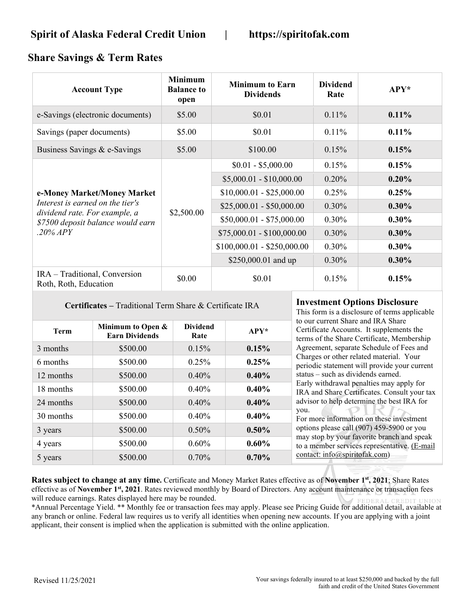## **Share Savings & Term Rates**

| <b>Account Type</b>                                                                                                                               | <b>Minimum</b><br><b>Balance to</b><br>open | <b>Minimum to Earn</b><br><b>Dividends</b> | <b>Dividend</b><br>Rate | $APY^*$  |
|---------------------------------------------------------------------------------------------------------------------------------------------------|---------------------------------------------|--------------------------------------------|-------------------------|----------|
| e-Savings (electronic documents)                                                                                                                  | \$5.00                                      | \$0.01                                     | $0.11\%$                | 0.11%    |
| Savings (paper documents)                                                                                                                         | \$5.00                                      | \$0.01                                     | 0.11%                   | $0.11\%$ |
| Business Savings & e-Savings                                                                                                                      | \$5.00                                      | \$100.00                                   | $0.15\%$                | 0.15%    |
| e-Money Market/Money Market<br>Interest is earned on the tier's<br>dividend rate. For example, a<br>\$7500 deposit balance would earn<br>.20% APY | \$2,500.00                                  | $$0.01 - $5,000.00$                        | 0.15%                   | 0.15%    |
|                                                                                                                                                   |                                             | $$5,000.01 - $10,000.00$                   | 0.20%                   | 0.20%    |
|                                                                                                                                                   |                                             | $$10,000.01 - $25,000.00$                  | 0.25%                   | 0.25%    |
|                                                                                                                                                   |                                             | $$25,000.01 - $50,000.00$                  | $0.30\%$                | $0.30\%$ |
|                                                                                                                                                   |                                             | $$50,000.01 - $75,000.00$                  | $0.30\%$                | $0.30\%$ |
|                                                                                                                                                   |                                             | $$75,000.01 - $100,000.00$                 | $0.30\%$                | $0.30\%$ |
|                                                                                                                                                   |                                             | $$100,000.01 - $250,000.00$                | $0.30\%$                | $0.30\%$ |
|                                                                                                                                                   |                                             | \$250,000.01 and up                        | $0.30\%$                | $0.30\%$ |
| IRA - Traditional, Conversion<br>Roth, Roth, Education                                                                                            | \$0.00                                      | \$0.01                                     | $0.15\%$                | 0.15%    |

**Certificates –** Traditional Term Share & Certificate IRA **Investment Options Disclosure**

|             |                                            |                         |        | 1 1110 1011                                  |
|-------------|--------------------------------------------|-------------------------|--------|----------------------------------------------|
| <b>Term</b> | Minimum to Open &<br><b>Earn Dividends</b> | <b>Dividend</b><br>Rate | $APY*$ | to our cu<br>Certifica<br>terms of           |
| 3 months    | \$500.00                                   | 0.15%                   | 0.15%  | Agreem                                       |
| 6 months    | \$500.00                                   | 0.25%                   | 0.25%  | Charges<br>periodic                          |
| 12 months   | \$500.00                                   | 0.40%                   | 0.40%  | status $-$                                   |
| 18 months   | \$500.00                                   | 0.40%                   | 0.40%  | Early wi<br>IRA and                          |
| 24 months   | \$500.00                                   | 0.40%                   | 0.40%  | advisor t                                    |
| 30 months   | \$500.00                                   | 0.40%                   | 0.40%  | you.<br>$\overline{\phantom{a}}$<br>For more |
| 3 years     | \$500.00                                   | 0.50%                   | 0.50%  | options p                                    |
| 4 years     | \$500.00                                   | 0.60%                   | 0.60%  | may stop<br>to a men                         |
| 5 years     | \$500.00                                   | 0.70%                   | 0.70%  | contact:                                     |

This form is a disclosure of terms applicable urrent Share and IRA Share te Accounts. It supplements the the Share Certificate, Membership ent, separate Schedule of Fees and or other related material. Your statement will provide your current such as dividends earned. thdrawal penalties may apply for Share Certificates. Consult your tax to help determine the best IRA for e information on these investment please call  $(907)$  459-5900 or you p by your favorite branch and speak nber services representative. (E-mail info@spiritofak.com)

**Rates subject to change at any time.** Certificate and Money Market Rates effective as of **November 1st, 2021**; Share Rates effective as of **November 1st, 2021**. Rates reviewed monthly by Board of Directors. Any account maintenance or transaction fees will reduce earnings. Rates displayed here may be rounded. DER AL CREDIT UNION

\*Annual Percentage Yield. \*\* Monthly fee or transaction fees may apply. Please see Pricing Guide for additional detail, available at any branch or online. Federal law requires us to verify all identities when opening new accounts. If you are applying with a joint applicant, their consent is implied when the application is submitted with the online application.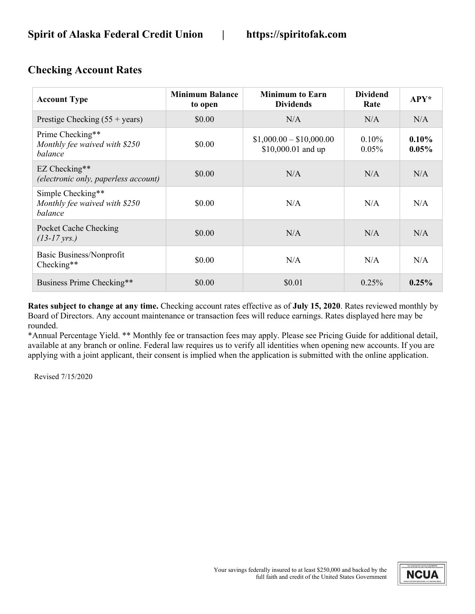| <b>Account Type</b>                                           | <b>Minimum Balance</b><br>to open | <b>Minimum to Earn</b><br><b>Dividends</b>     | <b>Dividend</b><br>Rate | APY*                 |
|---------------------------------------------------------------|-----------------------------------|------------------------------------------------|-------------------------|----------------------|
| Prestige Checking $(55 + \text{years})$                       | \$0.00                            | N/A                                            | N/A                     | N/A                  |
| Prime Checking**<br>Monthly fee waived with \$250<br>balance  | \$0.00                            | $$1,000.00 - $10,000.00$<br>\$10,000.01 and up | 0.10%<br>0.05%          | $0.10\%$<br>$0.05\%$ |
| EZ Checking**<br>(electronic only, paperless account)         | \$0.00                            | N/A                                            | N/A                     | N/A                  |
| Simple Checking**<br>Monthly fee waived with \$250<br>balance | \$0.00                            | N/A                                            | N/A                     | N/A                  |
| Pocket Cache Checking<br>$(13-17 \, \text{yrs.})$             | \$0.00                            | N/A                                            | N/A                     | N/A                  |
| Basic Business/Nonprofit<br>Checking**                        | \$0.00                            | N/A                                            | N/A                     | N/A                  |
| Business Prime Checking**                                     | \$0.00                            | \$0.01                                         | 0.25%                   | 0.25%                |

## **Checking Account Rates**

**Rates subject to change at any time.** Checking account rates effective as of **July 15, 2020**. Rates reviewed monthly by Board of Directors. Any account maintenance or transaction fees will reduce earnings. Rates displayed here may be rounded.

\*Annual Percentage Yield. \*\* Monthly fee or transaction fees may apply. Please see Pricing Guide for additional detail, available at any branch or online. Federal law requires us to verify all identities when opening new accounts. If you are applying with a joint applicant, their consent is implied when the application is submitted with the online application.

Revised 7/15/2020